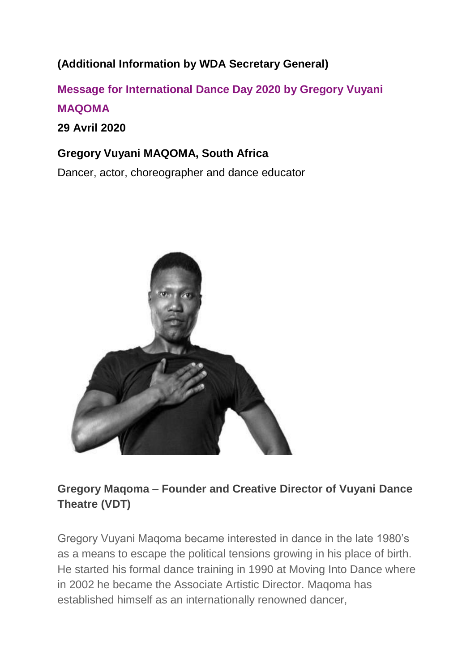#### **(Additional Information by WDA Secretary General)**

# **Message for International Dance Day 2020 by Gregory Vuyani MAQOMA 29 Avril 2020**

### **Gregory Vuyani MAQOMA, South Africa**

Dancer, actor, choreographer and dance educator



## **Gregory Maqoma – Founder and Creative Director of Vuyani Dance Theatre (VDT)**

Gregory Vuyani Maqoma became interested in dance in the late 1980's as a means to escape the political tensions growing in his place of birth. He started his formal dance training in 1990 at Moving Into Dance where in 2002 he became the Associate Artistic Director. Maqoma has established himself as an internationally renowned dancer,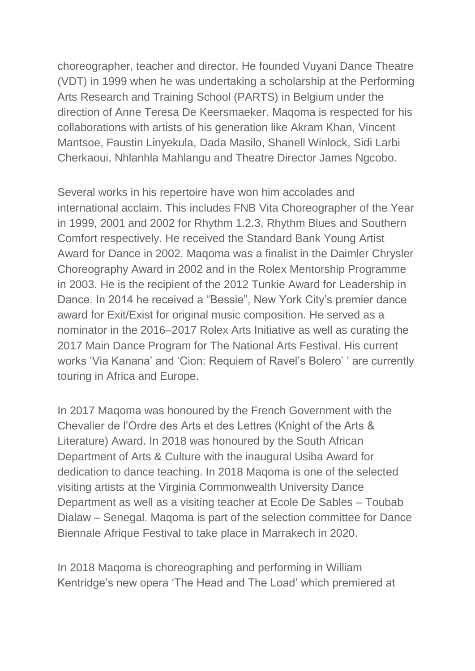choreographer, teacher and director. He founded Vuyani Dance Theatre (VDT) in 1999 when he was undertaking a scholarship at the Performing Arts Research and Training School (PARTS) in Belgium under the direction of Anne Teresa De Keersmaeker. Maqoma is respected for his collaborations with artists of his generation like Akram Khan, Vincent Mantsoe, Faustin Linyekula, Dada Masilo, Shanell Winlock, Sidi Larbi Cherkaoui, Nhlanhla Mahlangu and Theatre Director James Ngcobo.

Several works in his repertoire have won him accolades and international acclaim. This includes FNB Vita Choreographer of the Year in 1999, 2001 and 2002 for Rhythm 1.2.3, Rhythm Blues and Southern Comfort respectively. He received the Standard Bank Young Artist Award for Dance in 2002. Maqoma was a finalist in the Daimler Chrysler Choreography Award in 2002 and in the Rolex Mentorship Programme in 2003. He is the recipient of the 2012 Tunkie Award for Leadership in Dance. In 2014 he received a "Bessie", New York City's premier dance award for Exit/Exist for original music composition. He served as a nominator in the 2016–2017 Rolex Arts Initiative as well as curating the 2017 Main Dance Program for The National Arts Festival. His current works 'Via Kanana' and 'Cion: Requiem of Ravel's Bolero' ' are currently touring in Africa and Europe.

In 2017 Maqoma was honoured by the French Government with the Chevalier de l'Ordre des Arts et des Lettres (Knight of the Arts & Literature) Award. In 2018 was honoured by the South African Department of Arts & Culture with the inaugural Usiba Award for dedication to dance teaching. In 2018 Maqoma is one of the selected visiting artists at the Virginia Commonwealth University Dance Department as well as a visiting teacher at Ecole De Sables – Toubab Dialaw – Senegal. Maqoma is part of the selection committee for Dance Biennale Afrique Festival to take place in Marrakech in 2020.

In 2018 Maqoma is choreographing and performing in William Kentridge's new opera 'The Head and The Load' which premiered at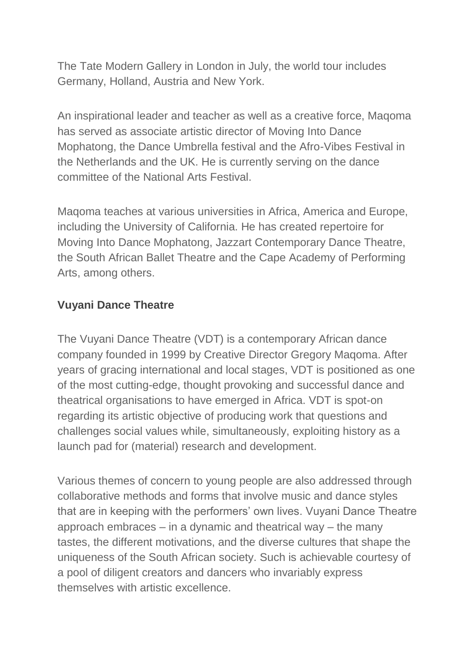The Tate Modern Gallery in London in July, the world tour includes Germany, Holland, Austria and New York.

An inspirational leader and teacher as well as a creative force, Maqoma has served as associate artistic director of Moving Into Dance Mophatong, the Dance Umbrella festival and the Afro-Vibes Festival in the Netherlands and the UK. He is currently serving on the dance committee of the National Arts Festival.

Maqoma teaches at various universities in Africa, America and Europe, including the University of California. He has created repertoire for Moving Into Dance Mophatong, Jazzart Contemporary Dance Theatre, the South African Ballet Theatre and the Cape Academy of Performing Arts, among others.

#### **Vuyani Dance Theatre**

The Vuyani Dance Theatre (VDT) is a contemporary African dance company founded in 1999 by Creative Director Gregory Maqoma. After years of gracing international and local stages, VDT is positioned as one of the most cutting-edge, thought provoking and successful dance and theatrical organisations to have emerged in Africa. VDT is spot-on regarding its artistic objective of producing work that questions and challenges social values while, simultaneously, exploiting history as a launch pad for (material) research and development.

Various themes of concern to young people are also addressed through collaborative methods and forms that involve music and dance styles that are in keeping with the performers' own lives. Vuyani Dance Theatre approach embraces – in a dynamic and theatrical way – the many tastes, the different motivations, and the diverse cultures that shape the uniqueness of the South African society. Such is achievable courtesy of a pool of diligent creators and dancers who invariably express themselves with artistic excellence.